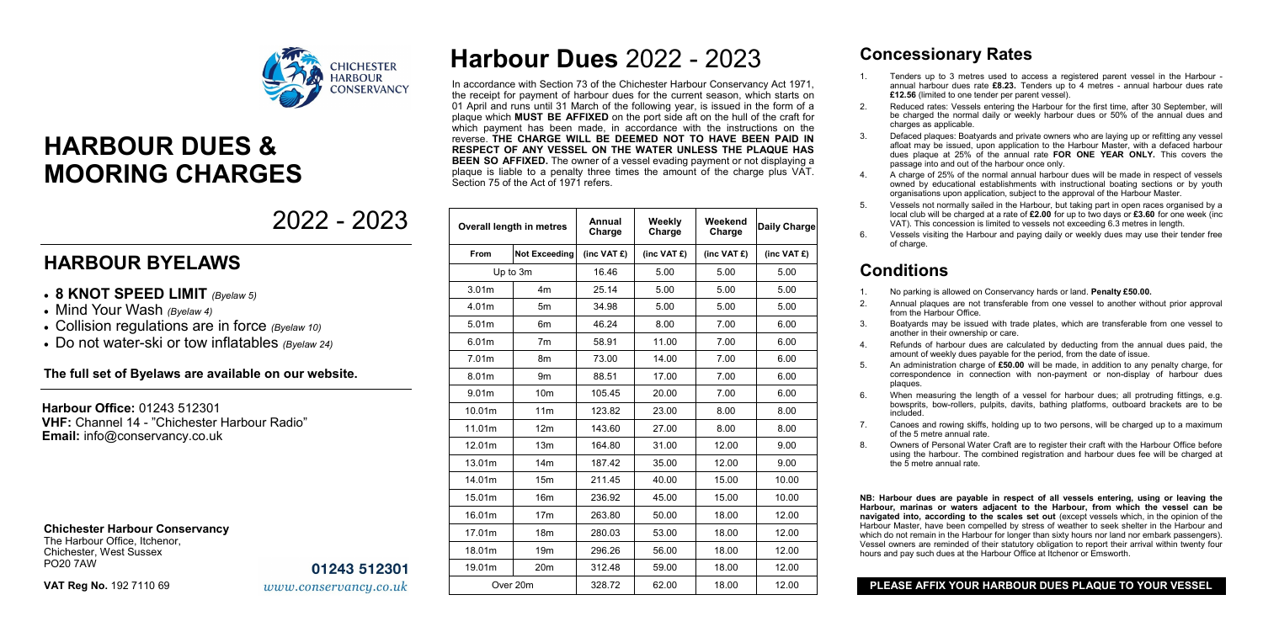## **Concessionary Rates**

1. Tenders up to 3 metres used to access a registered parent vessel in the Harbour annual harbour dues rate **£8.23.** Tenders up to 4 metres - annual harbour dues rate **£12.56** (limited to one tender per parent vessel).

2. Reduced rates: Vessels entering the Harbour for the first time, after 30 September, will be charged the normal daily or weekly harbour dues or 50% of the annual dues and

3. Defaced plaques: Boatyards and private owners who are laying up or refitting any vessel afloat may be issued, upon application to the Harbour Master, with a defaced harbour dues plaque at 25% of the annual rate **FOR ONE YEAR ONLY.** This covers the passage into and out of the harbour once only.

4. A charge of 25% of the normal annual harbour dues will be made in respect of vessels owned by educational establishments with instructional boating sections or by youth organisations upon application, subject to the approval of the Harbour Master.

- 
- charges as applicable.
- 
- 
- 
- of charge.

5. Vessels not normally sailed in the Harbour, but taking part in open races organised by a local club will be charged at a rate of **£2.00** for up to two days or **£3.60** for one week (inc VAT). This concession is limited to vessels not exceeding 6.3 metres in length.

6. Vessels visiting the Harbour and paying daily or weekly dues may use their tender free

## **Conditions**

1. No parking is allowed on Conservancy hards or land. **Penalty £50.00.**

2. Annual plaques are not transferable from one vessel to another without prior approval

3. Boatyards may be issued with trade plates, which are transferable from one vessel to

4. Refunds of harbour dues are calculated by deducting from the annual dues paid, the amount of weekly dues payable for the period, from the date of issue.

5. An administration charge of **£50.00** will be made, in addition to any penalty charge, for correspondence in connection with non-payment or non-display of harbour dues

- 
- from the Harbour Office.
- another in their ownership or care.
- 
- plaques.
- included.
- of the 5 metre annual rate.
- the 5 metre annual rate.

**NB: Harbour dues are payable in respect of all vessels entering, using or leaving the Harbour, marinas or waters adjacent to the Harbour, from which the vessel can be navigated into, according to the scales set out** (except vessels which, in the opinion of the Harbour Master, have been compelled by stress of weather to seek shelter in the Harbour and which do not remain in the Harbour for longer than sixty hours nor land nor embark passengers). Vessel owners are reminded of their statutory obligation to report their arrival within twenty four hours and pay such dues at the Harbour Office at Itchenor or Emsworth.

6. When measuring the length of a vessel for harbour dues; all protruding fittings, e.g. bowsprits, bow-rollers, pulpits, davits, bathing platforms, outboard brackets are to be

7. Canoes and rowing skiffs, holding up to two persons, will be charged up to a maximum

8. Owners of Personal Water Craft are to register their craft with the Harbour Office before using the harbour. The combined registration and harbour dues fee will be charged at

### **PLEASE AFFIX YOUR HARBOUR DUES PLAQUE TO YOUR VESSEL**

# **Harbour Dues** 2022 - 2023

In accordance with Section 73 of the Chichester Harbour Conservancy Act 1971, the receipt for payment of harbour dues for the current season, which starts on 01 April and runs until 31 March of the following year, is issued in the form of a plaque which **MUST BE AFFIXED** on the port side aft on the hull of the craft for which payment has been made, in accordance with the instructions on the reverse. **THE CHARGE WILL BE DEEMED NOT TO HAVE BEEN PAID IN RESPECT OF ANY VESSEL ON THE WATER UNLESS THE PLAQUE HAS BEEN SO AFFIXED.** The owner of a vessel evading payment or not displaying a plaque is liable to a penalty three times the amount of the charge plus VAT. Section 75 of the Act of 1971 refers.

| <b>Overall length in metres</b> |                      | Annual<br>Charge             | Weekly<br>Charge | Weekend<br>Charge | <b>Daily Charge</b> |
|---------------------------------|----------------------|------------------------------|------------------|-------------------|---------------------|
| From                            | <b>Not Exceeding</b> | $(inc \, VAT \, \mathbf{E})$ | (inc VAT $f$ )   | (inc VAT $f$ )    | (inc VAT $f$ )      |
| Up to 3m                        |                      | 16.46                        | 5.00             | 5.00              | 5.00                |
| 3.01 <sub>m</sub>               | 4 <sub>m</sub>       | 25.14                        | 5.00             | 5.00              | 5.00                |
| 4.01m                           | 5m                   | 34.98                        | 5.00             | 5.00              | 5.00                |
| 5.01m                           | 6 <sub>m</sub>       | 46.24                        | 8.00             | 7.00              | 6.00                |
| 6.01m                           | 7 <sub>m</sub>       | 58.91                        | 11.00            | 7.00              | 6.00                |
| 7.01m                           | 8m                   | 73.00                        | 14.00            | 7.00              | 6.00                |
| 8.01m                           | 9 <sub>m</sub>       | 88.51                        | 17.00            | 7.00              | 6.00                |
| 9.01m                           | 10 <sub>m</sub>      | 105.45                       | 20.00            | 7.00              | 6.00                |
| 10.01m                          | 11 <sub>m</sub>      | 123.82                       | 23.00            | 8.00              | 8.00                |
| 11.01m                          | 12 <sub>m</sub>      | 143.60                       | 27.00            | 8.00              | 8.00                |
| 12.01m                          | 13 <sub>m</sub>      | 164.80                       | 31.00            | 12.00             | 9.00                |
| 13.01m                          | 14 <sub>m</sub>      | 187.42                       | 35.00            | 12.00             | 9.00                |
| 14.01m                          | 15 <sub>m</sub>      | 211.45                       | 40.00            | 15.00             | 10.00               |
| 15.01m                          | 16 <sub>m</sub>      | 236.92                       | 45.00            | 15.00             | 10.00               |
| 16.01m                          | 17 <sub>m</sub>      | 263.80                       | 50.00            | 18.00             | 12.00               |
| 17.01m                          | 18 <sub>m</sub>      | 280.03                       | 53.00            | 18.00             | 12.00               |
| 18.01m                          | 19 <sub>m</sub>      | 296.26                       | 56.00            | 18.00             | 12.00               |
| 19.01m                          | 20 <sub>m</sub>      | 312.48                       | 59.00            | 18.00             | 12.00               |
| Over 20m                        |                      | 328.72                       | 62.00            | 18.00             | 12.00               |

## 2022 - 2023



# **HARBOUR DUES & MOORING CHARGES**

## **HARBOUR BYELAWS**

- **8 KNOT SPEED LIMIT** *(Byelaw 5)*
- Mind Your Wash *(Byelaw 4)*
- Collision regulations are in force *(Byelaw 10)*
- Do not water-ski or tow inflatables *(Byelaw 24)*

### **The full set of Byelaws are available on our website.**

**Harbour Office:** 01243 512301 **VHF:** Channel 14 - "Chichester Harbour Radio" **Email:** info@conservancy.co.uk

### **Chichester Harbour Conservancy**

The Harbour Office, Itchenor, Chichester, West Sussex PO20 7AW

01243 512301

www.conservancy.co.uk

**VAT Reg No.** 192 7110 69